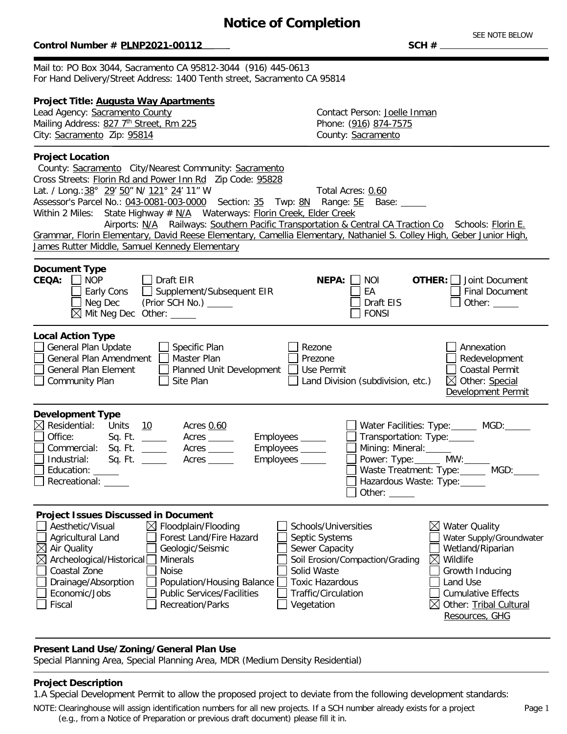## **Notice of Completion**

### $Control$  Number #  $PLNP2021-00112$

SEE NOTE BELOW<br>SCH #

Mail to: PO Box 3044, Sacramento CA 95812-3044 (916) 445-0613 For Hand Delivery/Street Address: 1400 Tenth street, Sacramento CA 95814

## **Project Title: Augusta Way Apartments**

Mailing Address: 827 7<sup>th</sup> Street, Rm 225 Phone: (916) 874-7575 City: Sacramento Zip: 95814 County: Sacramento

Lead Agency: Sacramento County Contact Person: Joelle Inman

#### **Project Location** County: Sacramento City/Nearest Community: Sacramento Cross Streets: Florin Rd and Power Inn Rd Zip Code: 95828 Lat. / Long.: 38° 29' 50" N/ 121° 24' 11" W Total Acres: 0.60 Assessor's Parcel No.: 043-0081-003-0000 Section: 35 Twp: 8N Range: 5E Base: Within 2 Miles: State Highway  $# N/A$  Waterways: Florin Creek, Elder Creek Airports: N/A Railways: Southern Pacific Transportation & Central CA Traction Co Schools: Florin E. Grammar, Florin Elementary, David Reese Elementary, Camellia Elementary, Nathaniel S. Colley High, Geber Junior High, James Rutter Middle, Samuel Kennedy Elementary <sup>-</sup> **Document Type**<br>**CEQA:** ONOP **CEQA:** NOP Draft EIR **NEPA:** NOI □ Early Cons Supplement/Subsequent EIR EA<br>□ Neg Dec (Prior SCH No.) \_\_\_\_\_ Neg Dec (Prior SCH No.) Draft EIS  $\boxtimes$  Mit Neg Dec Other:  $\Box$ **OTHER:** Joint Document Final Document Other: **Local Action Type** General Plan Update Specific Plan Specific Plan Sezone<br>
Seneral Plan Amendment Master Plan Seneral Prezone General Plan Amendment General Plan Element Planned Unit Development Use Permit  $\Box$  Community Plan  $\Box$  Site Plan  $\Box$  Land Division (subdivision, etc.) | Annexation  $\Box$  Redevelopment Coastal Permit  $\boxtimes$  Other: Special Development Permit **Development Type**  $\boxtimes$  Residential: Units  $\frac{10}{2}$  Acres 0.60 Office: Sq. Ft. \_\_\_\_\_\_ Acres \_\_\_\_\_ Employees \_\_\_\_\_ □ Commercial: Sq. Ft. \_\_\_\_\_\_ Acres \_\_\_\_\_\_ Employees \_\_\_\_\_<br>□ Industrial: Sq. Ft. \_\_\_\_\_ Acres \_\_\_\_\_ Employees \_\_\_\_\_  $Sq. Ft. \underline{\hspace{1cm}}$ Education: Recreational: \_\_\_\_\_ Water Facilities: Type: MGD: Transportation: Type: Mining: Mineral: Power: Type: MW: Waste Treatment: Type: MGD: Hazardous Waste: Type:  $\Box$  Other:  $\_\_\_\_\_\_\_\_\_\_\_\_\_$ **Project Issues Discussed in Document**  $\Box$  Aesthetic/Visual  $\boxtimes$  Floodplain/Flooding  $\Box$  Schools/Universities △ Agricultural Land △ D Forest Land/Fire Hazard △ Septic Systems<br>△ Air Quality △ Geologic/Seismic △ Sewer Capacity Geologic/Seismic **Sewer Capacity** △ Archeological/Historical Minerals Soil Erosion/Compaction/Grading<br>
October Solid Waste ]Coastal Zone<br>]Drainage/Absorption  $\Box$  Population/Housing Balance  $\Box$  Toxic Hazardous  $\Box$  Economic/Jobs  $\Box$  Public Services/Facilities  $\Box$  Traffic/Circulation  $\boxtimes$  Water Quality Water Supply/Groundwater Wetland/Riparian  $\boxtimes$  Wildlife Growth Inducing Land Use Cumulative Effects

## **Present Land Use/Zoning/General Plan Use**

Special Planning Area, Special Planning Area, MDR (Medium Density Residential)

Fiscal Recreation/Parks Vegetation

## **Project Description**

1.A Special Development Permit to allow the proposed project to deviate from the following development standards:

NOTE:Clearinghouse will assign identification numbers for all new projects. If a SCH number already exists for a project (e.g., from a Notice of Preparation or previous draft document) please fill it in.

 $\boxtimes$  Other: Tribal Cultural Resources, GHG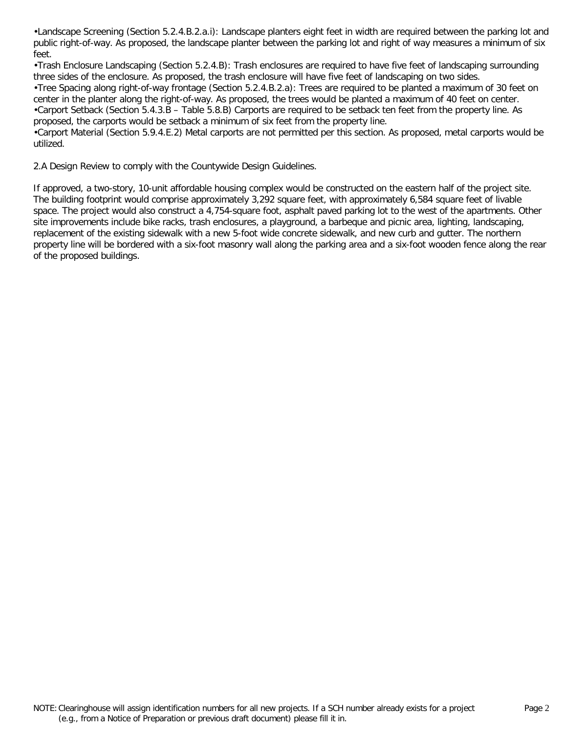•Landscape Screening (Section 5.2.4.B.2.a.i): Landscape planters eight feet in width are required between the parking lot and public right-of-way. As proposed, the landscape planter between the parking lot and right of way measures a minimum of six feet.

•Trash Enclosure Landscaping (Section 5.2.4.B): Trash enclosures are required to have five feet of landscaping surrounding three sides of the enclosure. As proposed, the trash enclosure will have five feet of landscaping on two sides.

•Tree Spacing along right-of-way frontage (Section 5.2.4.B.2.a): Trees are required to be planted a maximum of 30 feet on center in the planter along the right-of-way. As proposed, the trees would be planted a maximum of 40 feet on center.

•Carport Setback (Section 5.4.3.B – Table 5.8.B) Carports are required to be setback ten feet from the property line. As proposed, the carports would be setback a minimum of six feet from the property line.

•Carport Material (Section 5.9.4.E.2) Metal carports are not permitted per this section. As proposed, metal carports would be utilized.

2.A Design Review to comply with the Countywide Design Guidelines.

If approved, a two-story, 10-unit affordable housing complex would be constructed on the eastern half of the project site. The building footprint would comprise approximately 3,292 square feet, with approximately 6,584 square feet of livable space. The project would also construct a 4,754-square foot, asphalt paved parking lot to the west of the apartments. Other site improvements include bike racks, trash enclosures, a playground, a barbeque and picnic area, lighting, landscaping, replacement of the existing sidewalk with a new 5-foot wide concrete sidewalk, and new curb and gutter. The northern property line will be bordered with a six-foot masonry wall along the parking area and a six-foot wooden fence along the rear of the proposed buildings.